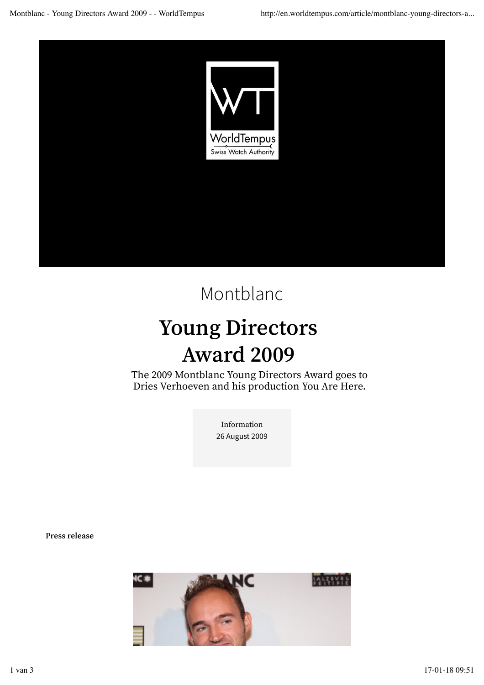

## Montblanc

## **Young Directors Award 2009**

The 2009 Montblanc Young Directors Award goes to Dries Verhoeven and his production You Are Here.

> Information 26 August 2009

**Press release**

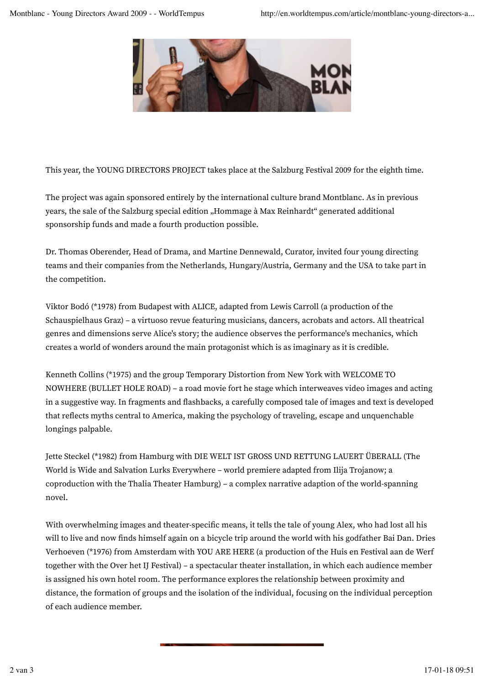

This year, the YOUNG DIRECTORS PROJECT takes place at the Salzburg Festival 2009 for the eighth time.

The project was again sponsored entirely by the international culture brand Montblanc. As in previous years, the sale of the Salzburg special edition "Hommage à Max Reinhardt" generated additional sponsorship funds and made a fourth production possible.

Dr. Thomas Oberender, Head of Drama, and Martine Dennewald, Curator, invited four young directing teams and their companies from the Netherlands, Hungary/Austria, Germany and the USA to take part in the competition.

Viktor Bodó (\*1978) from Budapest with ALICE, adapted from Lewis Carroll (a production of the Schauspielhaus Graz) – a virtuoso revue featuring musicians, dancers, acrobats and actors. All theatrical genres and dimensions serve Alice's story; the audience observes the performance's mechanics, which creates a world of wonders around the main protagonist which is as imaginary as it is credible.

Kenneth Collins (\*1975) and the group Temporary Distortion from New York with WELCOME TO NOWHERE (BULLET HOLE ROAD) – a road movie fort he stage which interweaves video images and acting in a suggestive way. In fragments and fashbacks, a carefully composed tale of images and text is developed that refects myths central to America, making the psychology of traveling, escape and unquenchable longings palpable.

Jette Steckel (\*1982) from Hamburg with DIE WELT IST GROSS UND RETTUNG LAUERT ÜBERALL (The World is Wide and Salvation Lurks Everywhere – world premiere adapted from Ilija Trojanow; a coproduction with the Thalia Theater Hamburg) – a complex narrative adaption of the world-spanning novel.

With overwhelming images and theater-specifc means, it tells the tale of young Alex, who had lost all his will to live and now fnds himself again on a bicycle trip around the world with his godfather Bai Dan. Dries Verhoeven (\*1976) from Amsterdam with YOU ARE HERE (a production of the Huis en Festival aan de Werf together with the Over het IJ Festival) – a spectacular theater installation, in which each audience member is assigned his own hotel room. The performance explores the relationship between proximity and distance, the formation of groups and the isolation of the individual, focusing on the individual perception of each audience member.